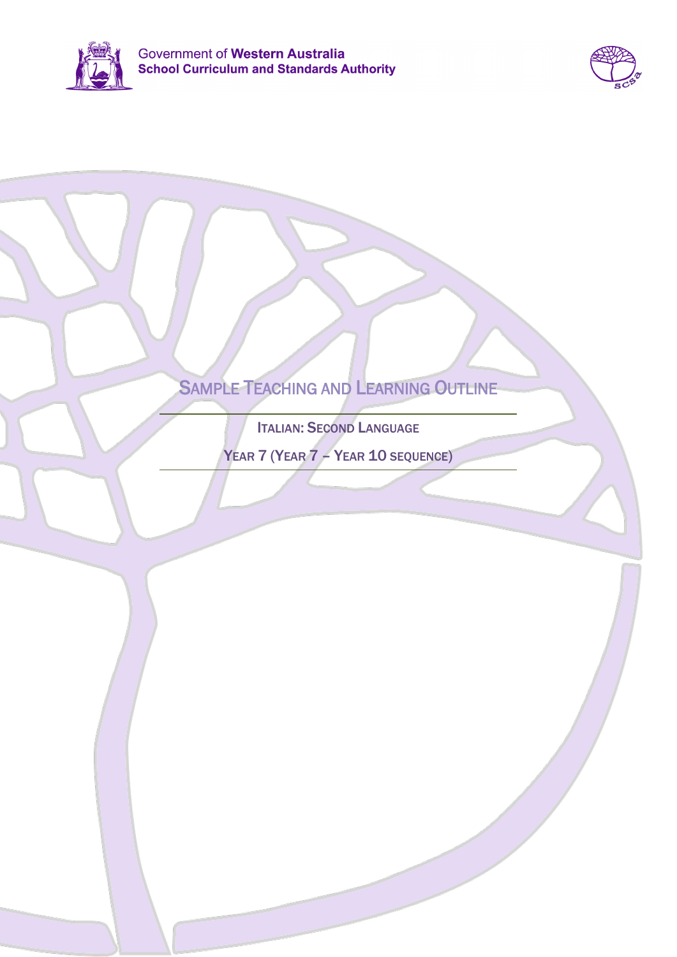



# SAMPLE TEACHING AND LEARNING OUTLINE

ITALIAN: SECOND LANGUAGE

YEAR 7 (YEAR 7 – YEAR 10 SEQUENCE)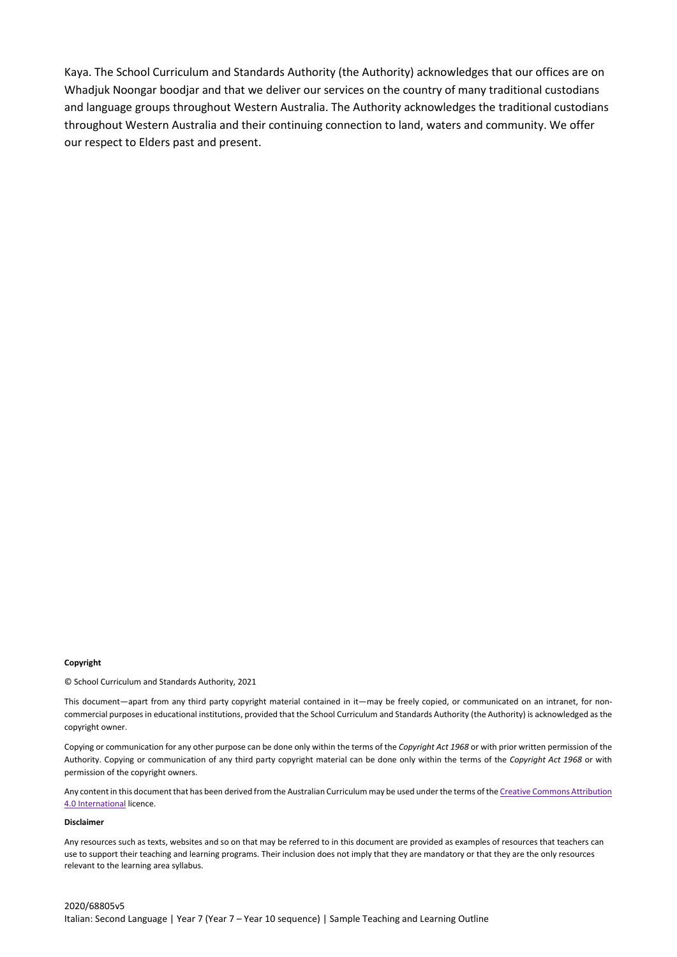Kaya. The School Curriculum and Standards Authority (the Authority) acknowledges that our offices are on Whadjuk Noongar boodjar and that we deliver our services on the country of many traditional custodians and language groups throughout Western Australia. The Authority acknowledges the traditional custodians throughout Western Australia and their continuing connection to land, waters and community. We offer our respect to Elders past and present.

#### **Copyright**

© School Curriculum and Standards Authority, 2021

This document—apart from any third party copyright material contained in it—may be freely copied, or communicated on an intranet, for noncommercial purposes in educational institutions, provided that the School Curriculum and Standards Authority (the Authority) is acknowledged as the copyright owner.

Copying or communication for any other purpose can be done only within the terms of the *Copyright Act 1968* or with prior written permission of the Authority. Copying or communication of any third party copyright material can be done only within the terms of the *Copyright Act 1968* or with permission of the copyright owners.

Any content in this document that has been derived from the Australian Curriculum may be used under the terms of the Creative Commons Attribution [4.0 International](https://creativecommons.org/licenses/by/4.0/) licence.

### **Disclaimer**

Any resources such as texts, websites and so on that may be referred to in this document are provided as examples of resources that teachers can use to support their teaching and learning programs. Their inclusion does not imply that they are mandatory or that they are the only resources relevant to the learning area syllabus.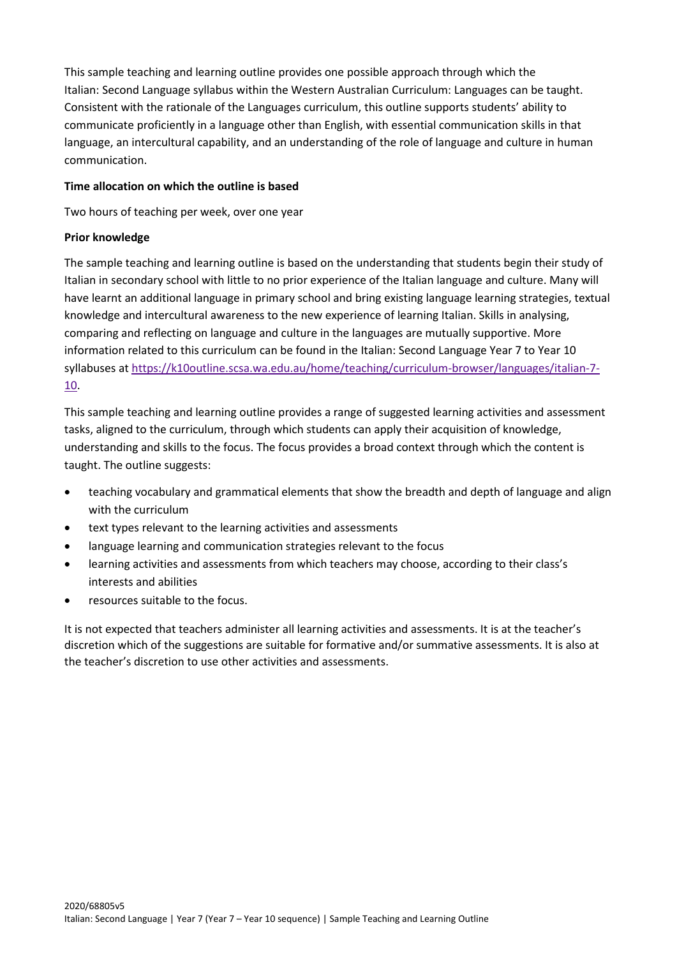This sample teaching and learning outline provides one possible approach through which the Italian: Second Language syllabus within the Western Australian Curriculum: Languages can be taught. Consistent with the rationale of the Languages curriculum, this outline supports students' ability to communicate proficiently in a language other than English, with essential communication skills in that language, an intercultural capability, and an understanding of the role of language and culture in human communication.

## **Time allocation on which the outline is based**

Two hours of teaching per week, over one year

## **Prior knowledge**

The sample teaching and learning outline is based on the understanding that students begin their study of Italian in secondary school with little to no prior experience of the Italian language and culture. Many will have learnt an additional language in primary school and bring existing language learning strategies, textual knowledge and intercultural awareness to the new experience of learning Italian. Skills in analysing, comparing and reflecting on language and culture in the languages are mutually supportive. More information related to this curriculum can be found in the Italian: Second Language Year 7 to Year 10 syllabuses at [https://k10outline.scsa.wa.edu.au/home/teaching/curriculum-browser/languages/italian-7-](https://k10outline.scsa.wa.edu.au/home/teaching/curriculum-browser/languages/italian-7-10) [10.](https://k10outline.scsa.wa.edu.au/home/teaching/curriculum-browser/languages/italian-7-10)

This sample teaching and learning outline provides a range of suggested learning activities and assessment tasks, aligned to the curriculum, through which students can apply their acquisition of knowledge, understanding and skills to the focus. The focus provides a broad context through which the content is taught. The outline suggests:

- teaching vocabulary and grammatical elements that show the breadth and depth of language and align with the curriculum
- text types relevant to the learning activities and assessments
- language learning and communication strategies relevant to the focus
- learning activities and assessments from which teachers may choose, according to their class's interests and abilities
- resources suitable to the focus.

It is not expected that teachers administer all learning activities and assessments. It is at the teacher's discretion which of the suggestions are suitable for formative and/or summative assessments. It is also at the teacher's discretion to use other activities and assessments.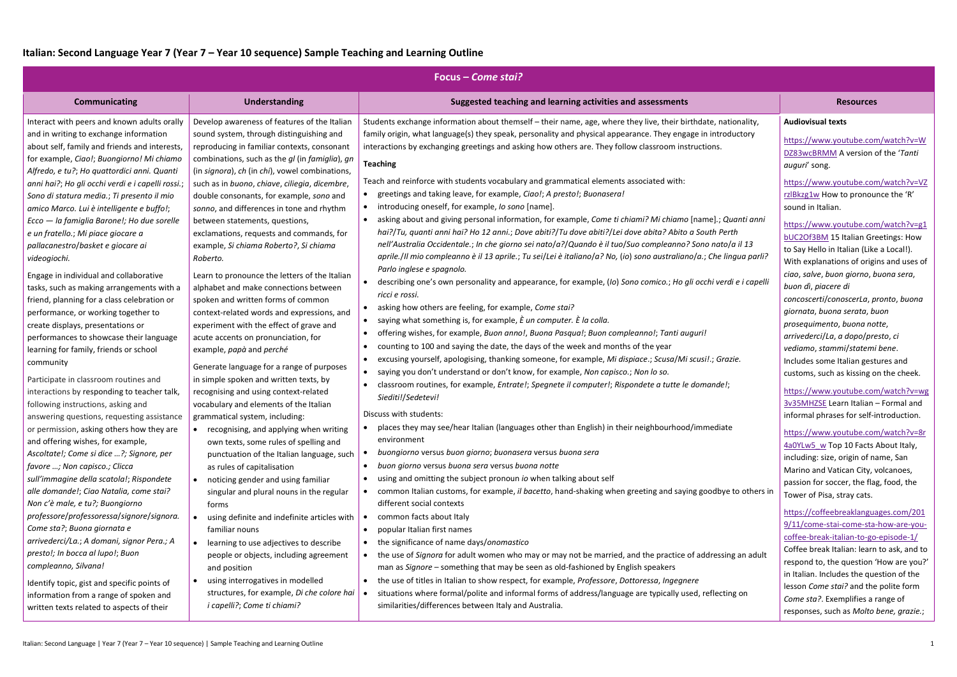| Focus – Come stai?                                                                                                                                                                                                                                                                                                                                                                                                                                                                                                                                                                                                |                                                                                                                                                                                                                                                                                                                                                                                                                                                                                                                                                      |                                                                                                                                                                                                                                                                                                                                                                                                                                                                                                                                                                                                                                                                                                                                                                                                                                                                                                                                                                                                                                                          |                                                                                                                                                                                                                                                                                                                                                                                                                                                                                                                                                                                                                          |  |
|-------------------------------------------------------------------------------------------------------------------------------------------------------------------------------------------------------------------------------------------------------------------------------------------------------------------------------------------------------------------------------------------------------------------------------------------------------------------------------------------------------------------------------------------------------------------------------------------------------------------|------------------------------------------------------------------------------------------------------------------------------------------------------------------------------------------------------------------------------------------------------------------------------------------------------------------------------------------------------------------------------------------------------------------------------------------------------------------------------------------------------------------------------------------------------|----------------------------------------------------------------------------------------------------------------------------------------------------------------------------------------------------------------------------------------------------------------------------------------------------------------------------------------------------------------------------------------------------------------------------------------------------------------------------------------------------------------------------------------------------------------------------------------------------------------------------------------------------------------------------------------------------------------------------------------------------------------------------------------------------------------------------------------------------------------------------------------------------------------------------------------------------------------------------------------------------------------------------------------------------------|--------------------------------------------------------------------------------------------------------------------------------------------------------------------------------------------------------------------------------------------------------------------------------------------------------------------------------------------------------------------------------------------------------------------------------------------------------------------------------------------------------------------------------------------------------------------------------------------------------------------------|--|
| <b>Communicating</b>                                                                                                                                                                                                                                                                                                                                                                                                                                                                                                                                                                                              | <b>Understanding</b>                                                                                                                                                                                                                                                                                                                                                                                                                                                                                                                                 | Suggested teaching and learning activities and assessments                                                                                                                                                                                                                                                                                                                                                                                                                                                                                                                                                                                                                                                                                                                                                                                                                                                                                                                                                                                               | <b>Resources</b>                                                                                                                                                                                                                                                                                                                                                                                                                                                                                                                                                                                                         |  |
| Interact with peers and known adults orally<br>and in writing to exchange information<br>about self, family and friends and interests,<br>for example, Ciao!; Buongiorno! Mi chiamo<br>Alfredo, e tu?; Ho quattordici anni. Quanti<br>anni hai?; Ho gli occhi verdi e i capelli rossi.;<br>Sono di statura media.; Ti presento il mio<br>amico Marco. Lui è intelligente e buffo!;<br>Ecco - la famiglia Barone!; Ho due sorelle<br>e un fratello.; Mi piace giocare a<br>pallacanestro/basket e giocare ai<br>videogiochi.                                                                                       | Develop awareness of features of the Italian<br>sound system, through distinguishing and<br>reproducing in familiar contexts, consonant<br>combinations, such as the gl (in famiglia), gn<br>(in signora), ch (in chi), vowel combinations,<br>such as in buono, chiave, ciliegia, dicembre,<br>double consonants, for example, sono and<br>sonno, and differences in tone and rhythm<br>between statements, questions,<br>exclamations, requests and commands, for<br>example, Si chiama Roberto?, Si chiama<br>Roberto.                            | Students exchange information about themself - their name, age, where they live, their birthdate, nationality,<br>family origin, what language(s) they speak, personality and physical appearance. They engage in introductory<br>interactions by exchanging greetings and asking how others are. They follow classroom instructions.<br><b>Teaching</b><br>Teach and reinforce with students vocabulary and grammatical elements associated with:<br>greetings and taking leave, for example, Ciao!; A presto!; Buonasera!<br>introducing oneself, for example, Io sono [name].<br>asking about and giving personal information, for example, Come ti chiami? Mi chiamo [name].; Quanti anni<br>hai?/Tu, quanti anni hai? Ho 12 anni.; Dove abiti?/Tu dove abiti?/Lei dove abita? Abito a South Perth<br>nell'Australia Occidentale.; In che giorno sei nato/a?/Quando è il tuo/Suo compleanno? Sono nato/a il 13<br>aprile./Il mio compleanno è il 13 aprile.; Tu sei/Lei è italiano/a? No, (io) sono australiano/a.; Che lingua parli?                | <b>Audiovisual texts</b><br>https://www.youtube.com/watch?v=W<br>DZ83wcBRMM A version of the 'Tanti<br>auguri' song.<br>https://www.youtube.com/watch?v=VZ<br>rzlBkzg1w How to pronounce the 'R'<br>sound in Italian.<br>https://www.youtube.com/watch?v=g1<br><b>bUC2Of3BM 15 Italian Greetings: How</b><br>to Say Hello in Italian (Like a Local!).                                                                                                                                                                                                                                                                    |  |
| Engage in individual and collaborative<br>tasks, such as making arrangements with a<br>friend, planning for a class celebration or<br>performance, or working together to<br>create displays, presentations or<br>performances to showcase their language<br>learning for family, friends or school<br>community<br>Participate in classroom routines and<br>interactions by responding to teacher talk,<br>following instructions, asking and<br>answering questions, requesting assistance                                                                                                                      | Learn to pronounce the letters of the Italian<br>alphabet and make connections between<br>spoken and written forms of common<br>context-related words and expressions, and<br>experiment with the effect of grave and<br>acute accents on pronunciation, for<br>example, papà and perché<br>Generate language for a range of purposes<br>in simple spoken and written texts, by<br>recognising and using context-related<br>vocabulary and elements of the Italian<br>grammatical system, including:                                                 | Parlo inglese e spagnolo.<br>describing one's own personality and appearance, for example, (Io) Sono comico.; Ho gli occhi verdi e i capelli<br>ricci e rossi.<br>asking how others are feeling, for example, Come stai?<br>saying what something is, for example, È un computer. È la colla.<br>offering wishes, for example, Buon anno!, Buona Pasqua!; Buon compleanno!; Tanti auguri!<br>counting to 100 and saying the date, the days of the week and months of the year<br>excusing yourself, apologising, thanking someone, for example, Mi dispiace.; Scusa/Mi scusi!.; Grazie.<br>saying you don't understand or don't know, for example, Non capisco.; Non lo so.<br>$\bullet$<br>classroom routines, for example, Entrate!; Spegnete il computer!; Rispondete a tutte le domande!;<br>Siediti!/Sedetevi!<br>Discuss with students:                                                                                                                                                                                                            | With explanations of origins and uses of<br>ciao, salve, buon giorno, buona sera,<br>buon dì, piacere di<br>concoscerti/conoscerLa, pronto, buona<br>giornata, buona serata, buon<br>prosequimento, buona notte,<br>arrivederci/La, a dopo/presto, ci<br>vediamo, stammi/statemi bene.<br>Includes some Italian gestures and<br>customs, such as kissing on the cheek.<br>https://www.youtube.com/watch?v=wg<br>3v35MHZSE Learn Italian - Formal and<br>informal phrases for self-introduction.                                                                                                                          |  |
| or permission, asking others how they are<br>and offering wishes, for example,<br>Ascoltate!; Come si dice ?; Signore, per<br>favore ; Non capisco.; Clicca<br>sull'immagine della scatola!; Rispondete<br>alle domande!; Ciao Natalia, come stai?<br>Non c'è male, e tu?; Buongiorno<br>professore/professoressa/signore/signora.<br>Come sta?; Buona giornata e<br>arrivederci/La.; A domani, signor Pera.; A<br>presto!; In bocca al lupo!; Buon<br>compleanno, Silvana!<br>Identify topic, gist and specific points of<br>information from a range of spoken and<br>written texts related to aspects of their | • recognising, and applying when writing<br>own texts, some rules of spelling and<br>punctuation of the Italian language, such<br>as rules of capitalisation<br>noticing gender and using familiar<br>singular and plural nouns in the regular<br>forms<br>using definite and indefinite articles with<br>familiar nouns<br>learning to use adjectives to describe<br>people or objects, including agreement<br>and position<br>using interrogatives in modelled<br>structures, for example, Di che colore hai<br><i>i</i> capelli?; Come ti chiami? | places they may see/hear Italian (languages other than English) in their neighbourhood/immediate<br>environment<br>buongiorno versus buon giorno; buonasera versus buona sera<br>buon giorno versus buona sera versus buona notte<br>$\bullet$<br>using and omitting the subject pronoun io when talking about self<br>common Italian customs, for example, il bacetto, hand-shaking when greeting and saying goodbye to others in<br>different social contexts<br>common facts about Italy<br>popular Italian first names<br>$\bullet$<br>the significance of name days/onomastico<br>the use of Signora for adult women who may or may not be married, and the practice of addressing an adult<br>man as Signore - something that may be seen as old-fashioned by English speakers<br>the use of titles in Italian to show respect, for example, Professore, Dottoressa, Ingegnere<br>situations where formal/polite and informal forms of address/language are typically used, reflecting on<br>similarities/differences between Italy and Australia. | https://www.youtube.com/watch?v=8r<br>4a0YLw5 w Top 10 Facts About Italy,<br>including: size, origin of name, San<br>Marino and Vatican City, volcanoes,<br>passion for soccer, the flag, food, the<br>Tower of Pisa, stray cats.<br>https://coffeebreaklanguages.com/201<br>9/11/come-stai-come-sta-how-are-you-<br>coffee-break-italian-to-go-episode-1/<br>Coffee break Italian: learn to ask, and to<br>respond to, the question 'How are you?'<br>in Italian. Includes the question of the<br>lesson Come stai? and the polite form<br>Come sta?. Exemplifies a range of<br>responses, such as Molto bene, grazie.; |  |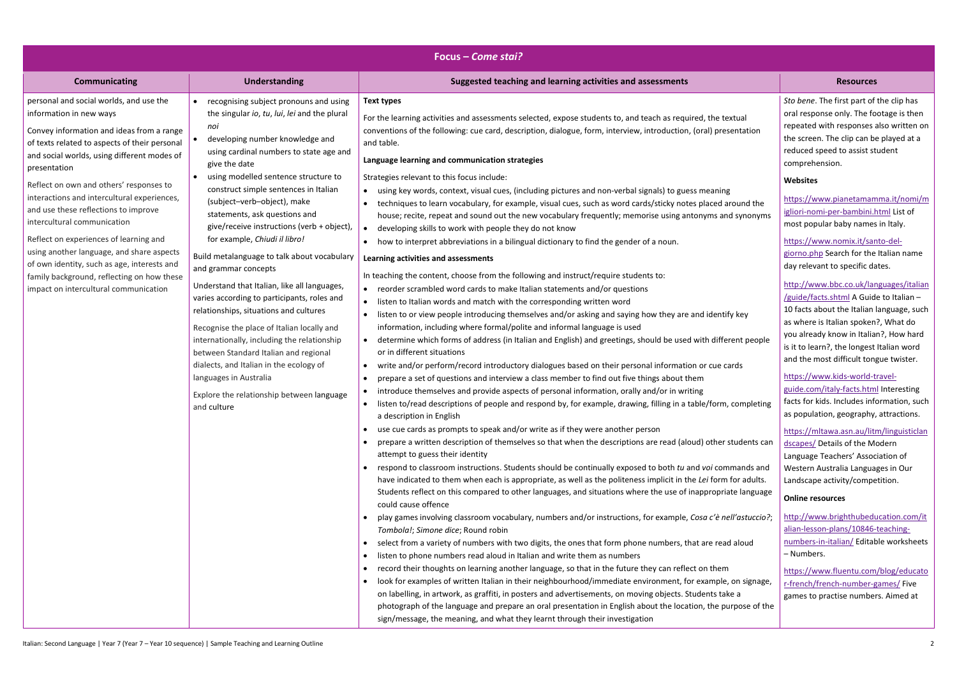|                                                                                                                                                                                                                                 |                                                                                                                                                                                                                                                                                                                                                                                                                                                                                                                      | Focus – Come stai?                                                                                                                                                                                                                                                                                                                                                                                                                                                                                                                                                                                                                                                                                                                                                                                                                                                                                                                                                                                                                                                                                                                                                                                                                                                                                                                                                                                                                                                                                                                                                                                                                                                                                                                                                                                                                                                                                                                                                                                                                                                                                                                                                                                                                                                                                                                                                                                                                                                                                                                                                                                                                                                                    |                                                                                                                                                                                                                                                                                                                                                                                                                                                                                                                                                                                                                                                                                                                                                                                                                                                                                                                                                                                                                                                                               |
|---------------------------------------------------------------------------------------------------------------------------------------------------------------------------------------------------------------------------------|----------------------------------------------------------------------------------------------------------------------------------------------------------------------------------------------------------------------------------------------------------------------------------------------------------------------------------------------------------------------------------------------------------------------------------------------------------------------------------------------------------------------|---------------------------------------------------------------------------------------------------------------------------------------------------------------------------------------------------------------------------------------------------------------------------------------------------------------------------------------------------------------------------------------------------------------------------------------------------------------------------------------------------------------------------------------------------------------------------------------------------------------------------------------------------------------------------------------------------------------------------------------------------------------------------------------------------------------------------------------------------------------------------------------------------------------------------------------------------------------------------------------------------------------------------------------------------------------------------------------------------------------------------------------------------------------------------------------------------------------------------------------------------------------------------------------------------------------------------------------------------------------------------------------------------------------------------------------------------------------------------------------------------------------------------------------------------------------------------------------------------------------------------------------------------------------------------------------------------------------------------------------------------------------------------------------------------------------------------------------------------------------------------------------------------------------------------------------------------------------------------------------------------------------------------------------------------------------------------------------------------------------------------------------------------------------------------------------------------------------------------------------------------------------------------------------------------------------------------------------------------------------------------------------------------------------------------------------------------------------------------------------------------------------------------------------------------------------------------------------------------------------------------------------------------------------------------------------|-------------------------------------------------------------------------------------------------------------------------------------------------------------------------------------------------------------------------------------------------------------------------------------------------------------------------------------------------------------------------------------------------------------------------------------------------------------------------------------------------------------------------------------------------------------------------------------------------------------------------------------------------------------------------------------------------------------------------------------------------------------------------------------------------------------------------------------------------------------------------------------------------------------------------------------------------------------------------------------------------------------------------------------------------------------------------------|
| <b>Communicating</b>                                                                                                                                                                                                            | <b>Understanding</b>                                                                                                                                                                                                                                                                                                                                                                                                                                                                                                 | Suggested teaching and learning activities and assessments                                                                                                                                                                                                                                                                                                                                                                                                                                                                                                                                                                                                                                                                                                                                                                                                                                                                                                                                                                                                                                                                                                                                                                                                                                                                                                                                                                                                                                                                                                                                                                                                                                                                                                                                                                                                                                                                                                                                                                                                                                                                                                                                                                                                                                                                                                                                                                                                                                                                                                                                                                                                                            | <b>Resources</b>                                                                                                                                                                                                                                                                                                                                                                                                                                                                                                                                                                                                                                                                                                                                                                                                                                                                                                                                                                                                                                                              |
| personal and social worlds, and use the<br>information in new ways<br>Convey information and ideas from a range<br>of texts related to aspects of their personal<br>and social worlds, using different modes of<br>presentation | • recognising subject pronouns and using<br>the singular io, tu, lui, lei and the plural<br>noi<br>developing number knowledge and<br>using cardinal numbers to state age and<br>give the date<br>using modelled sentence structure to                                                                                                                                                                                                                                                                               | Text types<br>For the learning activities and assessments selected, expose students to, and teach as required, the textual<br>conventions of the following: cue card, description, dialogue, form, interview, introduction, (oral) presentation<br>and table.<br>Language learning and communication strategies<br>Strategies relevant to this focus include:                                                                                                                                                                                                                                                                                                                                                                                                                                                                                                                                                                                                                                                                                                                                                                                                                                                                                                                                                                                                                                                                                                                                                                                                                                                                                                                                                                                                                                                                                                                                                                                                                                                                                                                                                                                                                                                                                                                                                                                                                                                                                                                                                                                                                                                                                                                         | Sto bene. The first part of the clip has<br>oral response only. The footage is then<br>repeated with responses also written on<br>the screen. The clip can be played at a<br>reduced speed to assist student<br>comprehension.<br>Websites                                                                                                                                                                                                                                                                                                                                                                                                                                                                                                                                                                                                                                                                                                                                                                                                                                    |
| Reflect on own and others' responses to<br>interactions and intercultural experiences,<br>and use these reflections to improve<br>intercultural communication                                                                   | construct simple sentences in Italian<br>(subject-verb-object), make<br>statements, ask questions and<br>give/receive instructions (verb + object),                                                                                                                                                                                                                                                                                                                                                                  | • using key words, context, visual cues, (including pictures and non-verbal signals) to guess meaning<br>• techniques to learn vocabulary, for example, visual cues, such as word cards/sticky notes placed around the<br>house; recite, repeat and sound out the new vocabulary frequently; memorise using antonyms and synonyms<br>developing skills to work with people they do not know<br>$\bullet$                                                                                                                                                                                                                                                                                                                                                                                                                                                                                                                                                                                                                                                                                                                                                                                                                                                                                                                                                                                                                                                                                                                                                                                                                                                                                                                                                                                                                                                                                                                                                                                                                                                                                                                                                                                                                                                                                                                                                                                                                                                                                                                                                                                                                                                                              | https://www.pianetamamma.it/nomi/m<br>igliori-nomi-per-bambini.html List of<br>most popular baby names in Italy.                                                                                                                                                                                                                                                                                                                                                                                                                                                                                                                                                                                                                                                                                                                                                                                                                                                                                                                                                              |
| Reflect on experiences of learning and<br>using another language, and share aspects<br>of own identity, such as age, interests and<br>family background, reflecting on how these<br>impact on intercultural communication       | for example, Chiudi il libro!<br>Build metalanguage to talk about vocabulary<br>and grammar concepts<br>Understand that Italian, like all languages,<br>varies according to participants, roles and<br>relationships, situations and cultures<br>Recognise the place of Italian locally and<br>internationally, including the relationship<br>between Standard Italian and regional<br>dialects, and Italian in the ecology of<br>languages in Australia<br>Explore the relationship between language<br>and culture | • how to interpret abbreviations in a bilingual dictionary to find the gender of a noun.<br>Learning activities and assessments<br>In teaching the content, choose from the following and instruct/require students to:<br>• reorder scrambled word cards to make Italian statements and/or questions<br>• listen to Italian words and match with the corresponding written word<br>• listen to or view people introducing themselves and/or asking and saying how they are and identify key<br>information, including where formal/polite and informal language is used<br>• determine which forms of address (in Italian and English) and greetings, should be used with different people<br>or in different situations<br>• write and/or perform/record introductory dialogues based on their personal information or cue cards<br>prepare a set of questions and interview a class member to find out five things about them<br>• introduce themselves and provide aspects of personal information, orally and/or in writing<br>• listen to/read descriptions of people and respond by, for example, drawing, filling in a table/form, completing<br>a description in English<br>• use cue cards as prompts to speak and/or write as if they were another person<br>prepare a written description of themselves so that when the descriptions are read (aloud) other students can<br>attempt to guess their identity<br>• respond to classroom instructions. Students should be continually exposed to both tu and voi commands and<br>have indicated to them when each is appropriate, as well as the politeness implicit in the Lei form for adults.<br>Students reflect on this compared to other languages, and situations where the use of inappropriate language<br>could cause offence<br>play games involving classroom vocabulary, numbers and/or instructions, for example, Cosa c'è nell'astuccio?;<br>Tombola!; Simone dice; Round robin<br>• select from a variety of numbers with two digits, the ones that form phone numbers, that are read aloud<br>• listen to phone numbers read aloud in Italian and write them as numbers<br>record their thoughts on learning another language, so that in the future they can reflect on them<br>• look for examples of written Italian in their neighbourhood/immediate environment, for example, on signage,<br>on labelling, in artwork, as graffiti, in posters and advertisements, on moving objects. Students take a<br>photograph of the language and prepare an oral presentation in English about the location, the purpose of the<br>sign/message, the meaning, and what they learnt through their investigation | https://www.nomix.it/santo-del-<br>giorno.php Search for the Italian name<br>day relevant to specific dates.<br>http://www.bbc.co.uk/languages/italian<br>/guide/facts.shtml A Guide to Italian -<br>10 facts about the Italian language, such<br>as where is Italian spoken?, What do<br>you already know in Italian?, How hard<br>is it to learn?, the longest Italian word<br>and the most difficult tongue twister.<br>https://www.kids-world-travel-<br>guide.com/italy-facts.html Interesting<br>facts for kids. Includes information, such<br>as population, geography, attractions.<br>https://mltawa.asn.au/litm/linguisticlan<br>dscapes/ Details of the Modern<br>Language Teachers' Association of<br>Western Australia Languages in Our<br>Landscape activity/competition.<br><b>Online resources</b><br>http://www.brighthubeducation.com/it<br>alian-lesson-plans/10846-teaching-<br>numbers-in-italian/ Editable worksheets<br>- Numbers.<br>https://www.fluentu.com/blog/educato<br>r-french/french-number-games/Five<br>games to practise numbers. Aimed at |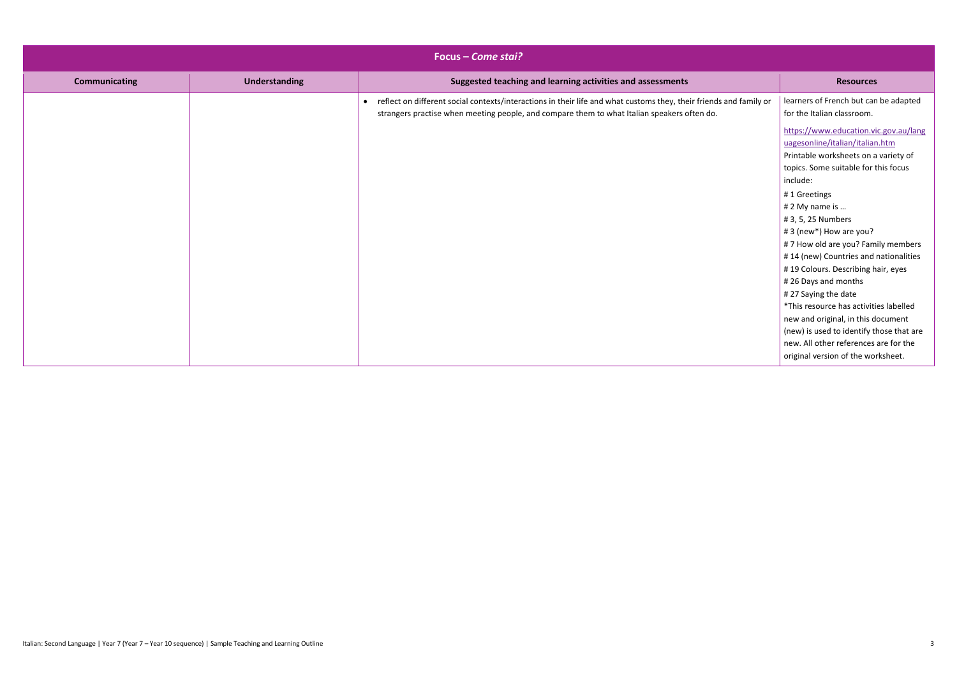|                      | Focus - Come stai? |                                                                                                                                                                                                                     |                                                                                                                                                                                                                                                                                                |
|----------------------|--------------------|---------------------------------------------------------------------------------------------------------------------------------------------------------------------------------------------------------------------|------------------------------------------------------------------------------------------------------------------------------------------------------------------------------------------------------------------------------------------------------------------------------------------------|
| <b>Communicating</b> | Understanding      | Suggested teaching and learning activities and assessments                                                                                                                                                          | <b>Resources</b>                                                                                                                                                                                                                                                                               |
|                      |                    | • reflect on different social contexts/interactions in their life and what customs they, their friends and family or<br>strangers practise when meeting people, and compare them to what Italian speakers often do. | learners of French but can be adapted<br>for the Italian classroom.                                                                                                                                                                                                                            |
|                      |                    |                                                                                                                                                                                                                     | https://www.education.vic.gov.au/lang<br>uagesonline/italian/italian.htm<br>Printable worksheets on a variety of<br>topics. Some suitable for this focus<br>include:<br>#1 Greetings                                                                                                           |
|                      |                    |                                                                                                                                                                                                                     | # 2 My name is<br># 3, 5, 25 Numbers<br>#3 (new*) How are you?<br>#7 How old are you? Family members                                                                                                                                                                                           |
|                      |                    |                                                                                                                                                                                                                     | #14 (new) Countries and nationalities<br>#19 Colours. Describing hair, eyes<br>#26 Days and months<br>#27 Saying the date<br>*This resource has activities labelled<br>new and original, in this document<br>(new) is used to identify those that are<br>new. All other references are for the |
|                      |                    |                                                                                                                                                                                                                     | original version of the worksheet.                                                                                                                                                                                                                                                             |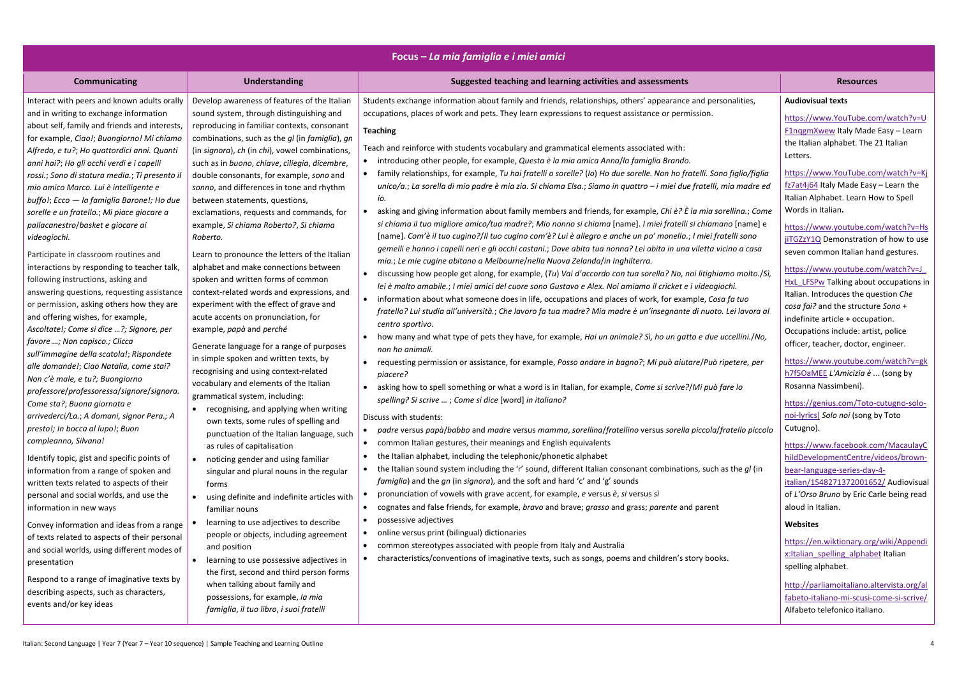| <b>Communicating</b><br><b>Understanding</b><br>Suggested teaching and learning activities and assessments<br><b>Resources</b><br>Students exchange information about family and friends, relationships, others' appearance and personalities,<br>Interact with peers and known adults orally<br>Develop awareness of features of the Italian<br><b>Audiovisual texts</b><br>and in writing to exchange information<br>sound system, through distinguishing and<br>occupations, places of work and pets. They learn expressions to request assistance or permission.<br>about self, family and friends and interests,<br>reproducing in familiar contexts, consonant<br><b>Teaching</b><br>for example, Ciao!; Buongiorno! Mi chiamo<br>combinations, such as the gl (in famiglia), gn<br>Teach and reinforce with students vocabulary and grammatical elements associated with:<br>(in signora), ch (in chi), vowel combinations,<br>Alfredo, e tu?; Ho quattordici anni. Quanti<br>Letters.<br>introducing other people, for example, Questa è la mia amica Anna/la famiglia Brando.<br>anni hai?; Ho gli occhi verdi e i capelli<br>such as in buono, chiave, ciliegia, dicembre,<br>• family relationships, for example, Tu hai fratelli o sorelle? (Io) Ho due sorelle. Non ho fratelli. Sono figlio/figlia<br>rossi.; Sono di statura media.; Ti presento il<br>double consonants, for example, sono and<br>unico/a.; La sorella di mio padre è mia zia. Si chiama Elsa.; Siamo in quattro – i miei due fratelli, mia madre ed<br>mio amico Marco. Lui è intelligente e<br>sonno, and differences in tone and rhythm<br>io.<br>buffo!; Ecco - la famiglia Barone!; Ho due<br>between statements, questions,<br>Words in Italian.<br>asking and giving information about family members and friends, for example, Chi è? È la mia sorellina.; Come<br>exclamations, requests and commands, for<br>sorelle e un fratello.; Mi piace giocare a<br>si chiama il tuo migliore amico/tua madre?; Mio nonno si chiama [name]. I miei fratelli si chiamano [name] e<br>pallacanestro/basket e giocare ai<br>example, Si chiama Roberto?, Si chiama<br>[name]. Com'è il tuo cugino?/Il tuo cugino com'è? Lui è allegro e anche un po' monello.; I miei fratelli sono<br>videogiochi.<br>Roberto.<br>gemelli e hanno i capelli neri e gli occhi castani.; Dove abita tua nonna? Lei abita in una viletta vicino a casa<br>Learn to pronounce the letters of the Italian<br>Participate in classroom routines and<br>mia.; Le mie cugine abitano a Melbourne/nella Nuova Zelanda/in Inghilterra.<br>alphabet and make connections between<br>interactions by responding to teacher talk,<br>discussing how people get along, for example, (Tu) Vai d'accordo con tua sorella? No, noi litighiamo molto./Sì,<br>$\bullet$<br>following instructions, asking and<br>spoken and written forms of common<br>lei è molto amabile.; I miei amici del cuore sono Gustavo e Alex. Noi amiamo il cricket e i videogiochi.<br>context-related words and expressions, and<br>answering questions, requesting assistance<br>• information about what someone does in life, occupations and places of work, for example, Cosa fa tuo<br>experiment with the effect of grave and<br>or permission, asking others how they are<br>fratello? Lui studia all'università.; Che lavoro fa tua madre? Mia madre è un'insegnante di nuoto. Lei lavora al<br>and offering wishes, for example,<br>acute accents on pronunciation, for<br>centro sportivo.<br>Ascoltate!; Come si dice ?; Signore, per<br>example, papà and perché<br>how many and what type of pets they have, for example, Hai un animale? Sì, ho un gatto e due uccellini./No,<br>favore ; Non capisco.; Clicca<br>Generate language for a range of purposes<br>non ho animali.<br>sull'immagine della scatola!; Rispondete<br>in simple spoken and written texts, by<br>• requesting permission or assistance, for example, Posso andare in bagno?; Mi può aiutare/Può ripetere, per<br>alle domande!; Ciao Natalia, come stai?<br>recognising and using context-related | Focus – La mia famiglia e i miei amici |  |          |                                                                                                                                                                                                                                                                                                                                                                                                                                                                                                                                                                                                                                                                                                                                                                                                                                                                                                                                                                                                                                                                                                                                            |  |
|------------------------------------------------------------------------------------------------------------------------------------------------------------------------------------------------------------------------------------------------------------------------------------------------------------------------------------------------------------------------------------------------------------------------------------------------------------------------------------------------------------------------------------------------------------------------------------------------------------------------------------------------------------------------------------------------------------------------------------------------------------------------------------------------------------------------------------------------------------------------------------------------------------------------------------------------------------------------------------------------------------------------------------------------------------------------------------------------------------------------------------------------------------------------------------------------------------------------------------------------------------------------------------------------------------------------------------------------------------------------------------------------------------------------------------------------------------------------------------------------------------------------------------------------------------------------------------------------------------------------------------------------------------------------------------------------------------------------------------------------------------------------------------------------------------------------------------------------------------------------------------------------------------------------------------------------------------------------------------------------------------------------------------------------------------------------------------------------------------------------------------------------------------------------------------------------------------------------------------------------------------------------------------------------------------------------------------------------------------------------------------------------------------------------------------------------------------------------------------------------------------------------------------------------------------------------------------------------------------------------------------------------------------------------------------------------------------------------------------------------------------------------------------------------------------------------------------------------------------------------------------------------------------------------------------------------------------------------------------------------------------------------------------------------------------------------------------------------------------------------------------------------------------------------------------------------------------------------------------------------------------------------------------------------------------------------------------------------------------------------------------------------------------------------------------------------------------------------------------------------------------------------------------------------------------------------------------------------------------------------------------------------------------------------------------------------------------------------------------------------------------------------------------------------------------------------------------------------------------------------------------------------------------------------------------------------------------------------------------------------------------------------------------------------------------------------------------------------------------------|----------------------------------------|--|----------|--------------------------------------------------------------------------------------------------------------------------------------------------------------------------------------------------------------------------------------------------------------------------------------------------------------------------------------------------------------------------------------------------------------------------------------------------------------------------------------------------------------------------------------------------------------------------------------------------------------------------------------------------------------------------------------------------------------------------------------------------------------------------------------------------------------------------------------------------------------------------------------------------------------------------------------------------------------------------------------------------------------------------------------------------------------------------------------------------------------------------------------------|--|
|                                                                                                                                                                                                                                                                                                                                                                                                                                                                                                                                                                                                                                                                                                                                                                                                                                                                                                                                                                                                                                                                                                                                                                                                                                                                                                                                                                                                                                                                                                                                                                                                                                                                                                                                                                                                                                                                                                                                                                                                                                                                                                                                                                                                                                                                                                                                                                                                                                                                                                                                                                                                                                                                                                                                                                                                                                                                                                                                                                                                                                                                                                                                                                                                                                                                                                                                                                                                                                                                                                                                                                                                                                                                                                                                                                                                                                                                                                                                                                                                                                                                                                                  |                                        |  |          |                                                                                                                                                                                                                                                                                                                                                                                                                                                                                                                                                                                                                                                                                                                                                                                                                                                                                                                                                                                                                                                                                                                                            |  |
| vocabulary and elements of the Italian<br>Rosanna Nassimbeni).<br>asking how to spell something or what a word is in Italian, for example, Come si scrive?/Mi può fare lo<br>professore/professoressa/signore/signora.<br>grammatical system, including:<br>spelling? Si scrive ; Come si dice [word] in italiano?<br>Come sta?; Buona giornata e<br>• recognising, and applying when writing<br>arrivederci/La.; A domani, signor Pera.; A<br>Discuss with students:<br>own texts, some rules of spelling and<br>Cutugno).<br>presto!; In bocca al lupo!; Buon<br>padre versus papà/babbo and madre versus mamma, sorellina/fratellino versus sorella piccola/fratello piccolo<br>punctuation of the Italian language, such<br>compleanno, Silvana!<br>common Italian gestures, their meanings and English equivalents<br>$\bullet$<br>as rules of capitalisation<br>the Italian alphabet, including the telephonic/phonetic alphabet<br>Identify topic, gist and specific points of<br>• noticing gender and using familiar<br>• the Italian sound system including the 'r' sound, different Italian consonant combinations, such as the gl (in<br>information from a range of spoken and<br>singular and plural nouns in the regular<br><i>famiglia</i> ) and the gn (in signora), and the soft and hard 'c' and 'g' sounds<br>written texts related to aspects of their<br>forms<br>pronunciation of vowels with grave accent, for example, e versus è, si versus sì<br>personal and social worlds, and use the<br>using definite and indefinite articles with<br>$\bullet$<br>cognates and false friends, for example, <i>bravo</i> and brave; grasso and grass; parente and parent<br>aloud in Italian.<br>information in new ways<br>familiar nouns<br>possessive adjectives<br>learning to use adjectives to describe<br><b>Websites</b><br>Convey information and ideas from a range<br>online versus print (bilingual) dictionaries<br>$\bullet$<br>people or objects, including agreement<br>of texts related to aspects of their personal<br>• common stereotypes associated with people from Italy and Australia<br>and position<br>and social worlds, using different modes of<br>characteristics/conventions of imaginative texts, such as songs, poems and children's story books.<br>learning to use possessive adjectives in<br>$\bullet$<br>presentation<br>spelling alphabet.<br>the first, second and third person forms<br>Respond to a range of imaginative texts by<br>when talking about family and<br>describing aspects, such as characters,<br>possessions, for example, la mia                                                                                                                                                                                                                                                                                                                                                                                                                                                                                                                                                                                                                                                                                                                                                                                                                                                                                                                                                                                                                                                                                                                                                                                                                                                                                                                                                                                                                                                                                                      | Non c'è male, e tu?; Buongiorno        |  | piacere? | https://www.YouTube.com/watch?v=U<br><b>F1nggmXwew Italy Made Easy - Learn</b><br>the Italian alphabet. The 21 Italian<br>https://www.YouTube.com/watch?v=Kj<br>fz7at4j64 Italy Made Easy - Learn the<br>Italian Alphabet. Learn How to Spell<br>https://www.youtube.com/watch?v=Hs<br>jiTGZzY1Q Demonstration of how to use<br>seven common Italian hand gestures.<br>https://www.youtube.com/watch?v=J<br>HxL LFSPw Talking about occupations in<br>Italian. Introduces the question Che<br>cosa fai? and the structure Sono +<br>indefinite article + occupation.<br>Occupations include: artist, police<br>officer, teacher, doctor, engineer.<br>https://www.youtube.com/watch?v=gk<br>h7f5OaMEE L'Amicizia è  (song by<br>https://genius.com/Toto-cutugno-solo-<br>noi-lyrics) Solo noi (song by Toto<br>https://www.facebook.com/MacaulayC<br>hildDevelopmentCentre/videos/brown-<br>bear-language-series-day-4-<br>italian/1548271372001652/ Audiovisual<br>of L'Orso Bruno by Eric Carle being read<br>https://en.wiktionary.org/wiki/Appendi<br>x:Italian spelling alphabet Italian<br>http://parliamoitaliano.altervista.org/al |  |

|                                                        | <b>Resources</b>                                                                                                                                                                                                   |
|--------------------------------------------------------|--------------------------------------------------------------------------------------------------------------------------------------------------------------------------------------------------------------------|
| sonalities,                                            | <b>Audiovisual texts</b>                                                                                                                                                                                           |
|                                                        | https://www.YouTube.com/watch?v=U<br><b>F1nggmXwew Italy Made Easy - Learn</b><br>the Italian alphabet. The 21 Italian<br>Letters.                                                                                 |
| 10 figlio/figlia<br>mia madre ed<br>orellina.; Come    | https://www.YouTube.com/watch?v=Kj<br>fz7at4j64 Italy Made Easy - Learn the<br>Italian Alphabet. Learn How to Spell<br>Words in Italian.                                                                           |
| <i>ano</i> [name] e<br>atelli sono<br>icino a casa     | https://www.youtube.com/watch?v=Hs<br>jiTGZzY1Q Demonstration of how to use<br>seven common Italian hand gestures.                                                                                                 |
| ато molto./Sì,<br>ochi.<br>a fa tuo<br>. Lei lavora al | https://www.youtube.com/watch?v=J<br>HxL_LFSPw Talking about occupations in<br>Italian. Introduces the question Che<br>cosa fai? and the structure Sono +<br>indefinite article + occupation.                      |
| uccellini./No,                                         | Occupations include: artist, police<br>officer, teacher, doctor, engineer.                                                                                                                                         |
| ripetere, per<br>fare lo                               | https://www.youtube.com/watch?v=gk<br>h7f5OaMEE L'Amicizia è  (song by<br>Rosanna Nassimbeni).                                                                                                                     |
| fratello piccolo                                       | https://genius.com/Toto-cutugno-solo-<br>noi-lyrics) Solo noi (song by Toto<br>Cutugno).                                                                                                                           |
| as the gl (in                                          | https://www.facebook.com/MacaulayC<br>hildDevelopmentCentre/videos/brown-<br>bear-language-series-day-4-<br>italian/1548271372001652/ Audiovisual<br>of L'Orso Bruno by Eric Carle being read<br>aloud in Italian. |
|                                                        | <b>Websites</b>                                                                                                                                                                                                    |
| KS.                                                    | https://en.wiktionary.org/wiki/Appendi<br>x:Italian spelling alphabet Italian<br>spelling alphabet.                                                                                                                |
|                                                        | http://parliamoitaliano.altervista.org/al<br>fabeto-italiano-mi-scusi-come-si-scrive/<br>Alfabeto telefonico italiano.                                                                                             |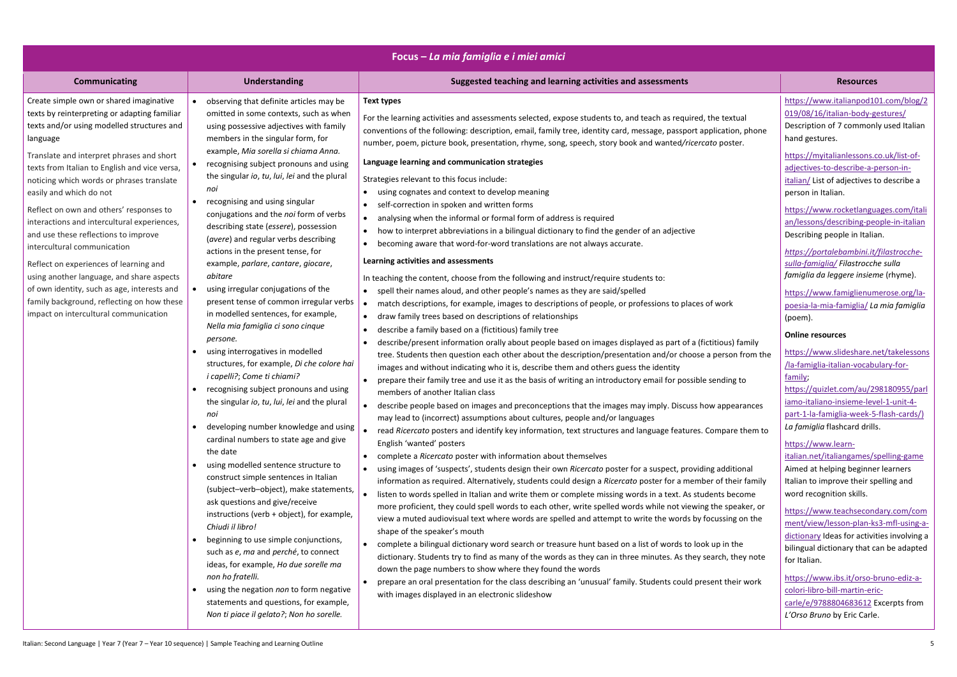|                                                                                                                                                                                                                                                                                                                                                                                                                                                                                                                                                                                                                                                                                                                       |                                                                                                                                                                                                                                                                                                                                                                                                                                                                                                                                                                                                                                                                                                                                                                                                                                                                                                                                                                                                                                                                                                                                                                                                                                                                                                                                                                                                                                                                                                                                                                                   | Focus – La mia famiglia e i miei amici                                                                                                                                                                                                                                                                                                                                                                                                                                                                                                                                                                                                                                                                                                                                                                                                                                                                                                                                                                                                                                                                                                                                                                                                                                                                                                                                                                                                                                                                                                                                                                                                                                                                                                                                                                                                                                                                                                                                                                                                                                                                                                                                                                                                                                                                                                                                                                                                                                                                                                                                                                                                                                                                                                                                                                                                                                                                                                                                                                                                                                                                                                                                                                                                     |                                                                                                                                                                                                                                                                                                                                                                                                                                                                                                                                                                                                                                                                                                                                                                                                                                                                                                                                                                                                                                                                                                                                                                                                                                                                                                                                                                                                                                                    |
|-----------------------------------------------------------------------------------------------------------------------------------------------------------------------------------------------------------------------------------------------------------------------------------------------------------------------------------------------------------------------------------------------------------------------------------------------------------------------------------------------------------------------------------------------------------------------------------------------------------------------------------------------------------------------------------------------------------------------|-----------------------------------------------------------------------------------------------------------------------------------------------------------------------------------------------------------------------------------------------------------------------------------------------------------------------------------------------------------------------------------------------------------------------------------------------------------------------------------------------------------------------------------------------------------------------------------------------------------------------------------------------------------------------------------------------------------------------------------------------------------------------------------------------------------------------------------------------------------------------------------------------------------------------------------------------------------------------------------------------------------------------------------------------------------------------------------------------------------------------------------------------------------------------------------------------------------------------------------------------------------------------------------------------------------------------------------------------------------------------------------------------------------------------------------------------------------------------------------------------------------------------------------------------------------------------------------|--------------------------------------------------------------------------------------------------------------------------------------------------------------------------------------------------------------------------------------------------------------------------------------------------------------------------------------------------------------------------------------------------------------------------------------------------------------------------------------------------------------------------------------------------------------------------------------------------------------------------------------------------------------------------------------------------------------------------------------------------------------------------------------------------------------------------------------------------------------------------------------------------------------------------------------------------------------------------------------------------------------------------------------------------------------------------------------------------------------------------------------------------------------------------------------------------------------------------------------------------------------------------------------------------------------------------------------------------------------------------------------------------------------------------------------------------------------------------------------------------------------------------------------------------------------------------------------------------------------------------------------------------------------------------------------------------------------------------------------------------------------------------------------------------------------------------------------------------------------------------------------------------------------------------------------------------------------------------------------------------------------------------------------------------------------------------------------------------------------------------------------------------------------------------------------------------------------------------------------------------------------------------------------------------------------------------------------------------------------------------------------------------------------------------------------------------------------------------------------------------------------------------------------------------------------------------------------------------------------------------------------------------------------------------------------------------------------------------------------------------------------------------------------------------------------------------------------------------------------------------------------------------------------------------------------------------------------------------------------------------------------------------------------------------------------------------------------------------------------------------------------------------------------------------------------------------------------------------------------------|----------------------------------------------------------------------------------------------------------------------------------------------------------------------------------------------------------------------------------------------------------------------------------------------------------------------------------------------------------------------------------------------------------------------------------------------------------------------------------------------------------------------------------------------------------------------------------------------------------------------------------------------------------------------------------------------------------------------------------------------------------------------------------------------------------------------------------------------------------------------------------------------------------------------------------------------------------------------------------------------------------------------------------------------------------------------------------------------------------------------------------------------------------------------------------------------------------------------------------------------------------------------------------------------------------------------------------------------------------------------------------------------------------------------------------------------------|
| <b>Communicating</b>                                                                                                                                                                                                                                                                                                                                                                                                                                                                                                                                                                                                                                                                                                  | <b>Understanding</b>                                                                                                                                                                                                                                                                                                                                                                                                                                                                                                                                                                                                                                                                                                                                                                                                                                                                                                                                                                                                                                                                                                                                                                                                                                                                                                                                                                                                                                                                                                                                                              | Suggested teaching and learning activities and assessments                                                                                                                                                                                                                                                                                                                                                                                                                                                                                                                                                                                                                                                                                                                                                                                                                                                                                                                                                                                                                                                                                                                                                                                                                                                                                                                                                                                                                                                                                                                                                                                                                                                                                                                                                                                                                                                                                                                                                                                                                                                                                                                                                                                                                                                                                                                                                                                                                                                                                                                                                                                                                                                                                                                                                                                                                                                                                                                                                                                                                                                                                                                                                                                 | <b>Resources</b>                                                                                                                                                                                                                                                                                                                                                                                                                                                                                                                                                                                                                                                                                                                                                                                                                                                                                                                                                                                                                                                                                                                                                                                                                                                                                                                                                                                                                                   |
| Create simple own or shared imaginative<br>texts by reinterpreting or adapting familiar<br>texts and/or using modelled structures and<br>language<br>Translate and interpret phrases and short<br>texts from Italian to English and vice versa,<br>noticing which words or phrases translate<br>easily and which do not<br>Reflect on own and others' responses to<br>interactions and intercultural experiences,<br>and use these reflections to improve<br>intercultural communication<br>Reflect on experiences of learning and<br>using another language, and share aspects<br>of own identity, such as age, interests and<br>family background, reflecting on how these<br>impact on intercultural communication | observing that definite articles may be<br>omitted in some contexts, such as when<br>using possessive adjectives with family<br>members in the singular form, for<br>example, Mia sorella si chiama Anna.<br>recognising subject pronouns and using<br>the singular io, tu, lui, lei and the plural<br>noi<br>recognising and using singular<br>conjugations and the noi form of verbs<br>describing state (essere), possession<br>(avere) and regular verbs describing<br>actions in the present tense, for<br>example, parlare, cantare, giocare,<br>abitare<br>using irregular conjugations of the<br>present tense of common irregular verbs<br>in modelled sentences, for example,<br>Nella mia famiglia ci sono cinque<br>persone.<br>using interrogatives in modelled<br>structures, for example, Di che colore hai<br><i>i capelli?; Come ti chiami?</i><br>• recognising subject pronouns and using<br>the singular io, tu, lui, lei and the plural<br>noi<br>developing number knowledge and using<br>cardinal numbers to state age and give<br>the date<br>using modelled sentence structure to<br>construct simple sentences in Italian<br>(subject-verb-object), make statements,<br>ask questions and give/receive<br>instructions (verb + object), for example,<br>Chiudi il libro!<br>beginning to use simple conjunctions,<br>such as e, ma and perché, to connect<br>ideas, for example, Ho due sorelle ma<br>non ho fratelli.<br>using the negation non to form negative<br>statements and questions, for example,<br>Non ti piace il gelato?; Non ho sorelle. | <b>Text types</b><br>For the learning activities and assessments selected, expose students to, and teach as required, the textual<br>conventions of the following: description, email, family tree, identity card, message, passport application, phone<br>number, poem, picture book, presentation, rhyme, song, speech, story book and wanted/ricercato poster.<br>Language learning and communication strategies<br>Strategies relevant to this focus include:<br>• using cognates and context to develop meaning<br>• self-correction in spoken and written forms<br>analysing when the informal or formal form of address is required<br>how to interpret abbreviations in a bilingual dictionary to find the gender of an adjective<br>becoming aware that word-for-word translations are not always accurate.<br>Learning activities and assessments<br>In teaching the content, choose from the following and instruct/require students to:<br>• spell their names aloud, and other people's names as they are said/spelled<br>match descriptions, for example, images to descriptions of people, or professions to places of work<br>draw family trees based on descriptions of relationships<br>describe a family based on a (fictitious) family tree<br>describe/present information orally about people based on images displayed as part of a (fictitious) family<br>tree. Students then question each other about the description/presentation and/or choose a person from the<br>images and without indicating who it is, describe them and others guess the identity<br>prepare their family tree and use it as the basis of writing an introductory email for possible sending to<br>members of another Italian class<br>describe people based on images and preconceptions that the images may imply. Discuss how appearances<br>may lead to (incorrect) assumptions about cultures, people and/or languages<br>read Ricercato posters and identify key information, text structures and language features. Compare them to<br>English 'wanted' posters<br>• complete a Ricercato poster with information about themselves<br>using images of 'suspects', students design their own Ricercato poster for a suspect, providing additional<br>information as required. Alternatively, students could design a Ricercato poster for a member of their family<br>listen to words spelled in Italian and write them or complete missing words in a text. As students become<br>$\bullet$<br>more proficient, they could spell words to each other, write spelled words while not viewing the speaker, or<br>view a muted audiovisual text where words are spelled and attempt to write the words by focussing on the<br>shape of the speaker's mouth<br>complete a bilingual dictionary word search or treasure hunt based on a list of words to look up in the<br>dictionary. Students try to find as many of the words as they can in three minutes. As they search, they note<br>down the page numbers to show where they found the words<br>prepare an oral presentation for the class describing an 'unusual' family. Students could present their work<br>$\bullet$<br>with images displayed in an electronic slideshow | https://www.italianpod101.com/blog/2<br>019/08/16/italian-body-gestures/<br>Description of 7 commonly used Italian<br>hand gestures.<br>https://myitalianlessons.co.uk/list-of-<br>adjectives-to-describe-a-person-in-<br>italian/ List of adjectives to describe a<br>person in Italian.<br>https://www.rocketlanguages.com/itali<br>an/lessons/describing-people-in-italian<br>Describing people in Italian.<br>https://portalebambini.it/filastrocche-<br>sulla-famiglia/ Filastrocche sulla<br>famiglia da leggere insieme (rhyme).<br>https://www.famiglienumerose.org/la-<br>poesia-la-mia-famiglia/ La mia famiglia<br>(poem).<br><b>Online resources</b><br>https://www.slideshare.net/takelessons<br>/la-famiglia-italian-vocabulary-for-<br>family;<br>https://quizlet.com/au/298180955/parl<br>iamo-italiano-insieme-level-1-unit-4-<br>part-1-la-famiglia-week-5-flash-cards/)<br>La famiglia flashcard drills.<br>https://www.learn-<br>italian.net/italiangames/spelling-game<br>Aimed at helping beginner learners<br>Italian to improve their spelling and<br>word recognition skills.<br>https://www.teachsecondary.com/com<br>ment/view/lesson-plan-ks3-mfl-using-a-<br>dictionary Ideas for activities involving a<br>bilingual dictionary that can be adapted<br>for Italian.<br>https://www.ibs.it/orso-bruno-ediz-a-<br>colori-libro-bill-martin-eric-<br>carle/e/9788804683612 Excerpts from<br>L'Orso Bruno by Eric Carle. |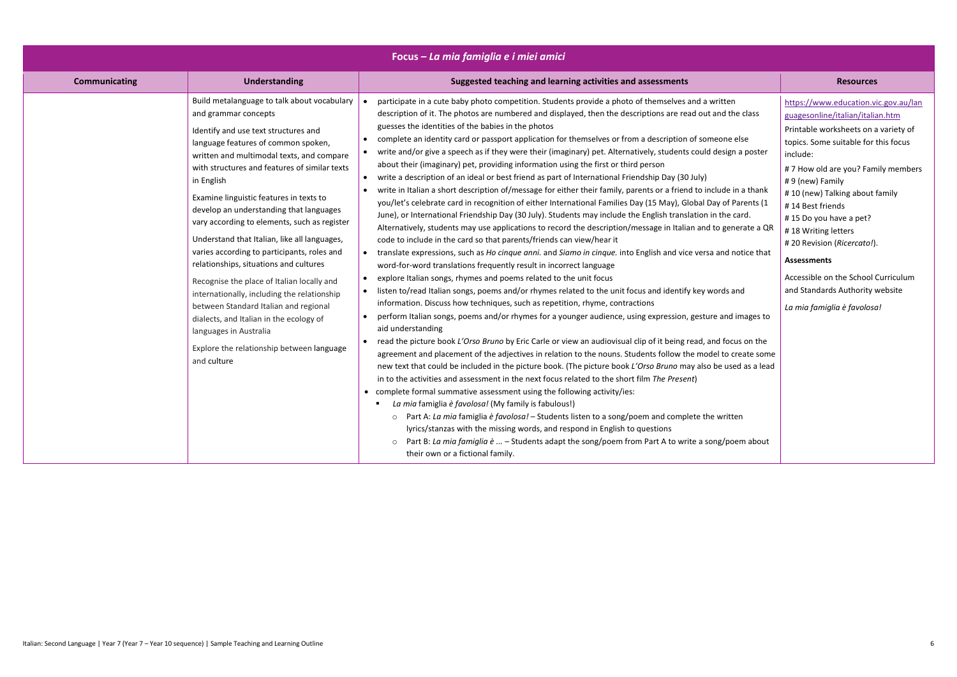| Focus – La mia famiglia e i miei amici                                      |                                                                                                                                                                                                                                                                                                                                                                                                                                                                                                                                                                                                                                                                                                                                                                                       |                                                                                                                                                                                                                                                                                                                                                                                                                                                                                                                                                                                                                                                                                                                                                                                                                                                                                                                                                                                                                                                                                                                                                                                                                                                                                                                                                                                                                                                                                                                                                                                                                                                                                                                                                                                                                                                                                                                                                                                                                                                                                                                                                                                                                                                                                                                                                                                                                                                                                                                                                                                                                                                                                                                                                                                  |                                                                                                                                                                                                                                                                                                                                                                                                                                                                                                    |  |
|-----------------------------------------------------------------------------|---------------------------------------------------------------------------------------------------------------------------------------------------------------------------------------------------------------------------------------------------------------------------------------------------------------------------------------------------------------------------------------------------------------------------------------------------------------------------------------------------------------------------------------------------------------------------------------------------------------------------------------------------------------------------------------------------------------------------------------------------------------------------------------|----------------------------------------------------------------------------------------------------------------------------------------------------------------------------------------------------------------------------------------------------------------------------------------------------------------------------------------------------------------------------------------------------------------------------------------------------------------------------------------------------------------------------------------------------------------------------------------------------------------------------------------------------------------------------------------------------------------------------------------------------------------------------------------------------------------------------------------------------------------------------------------------------------------------------------------------------------------------------------------------------------------------------------------------------------------------------------------------------------------------------------------------------------------------------------------------------------------------------------------------------------------------------------------------------------------------------------------------------------------------------------------------------------------------------------------------------------------------------------------------------------------------------------------------------------------------------------------------------------------------------------------------------------------------------------------------------------------------------------------------------------------------------------------------------------------------------------------------------------------------------------------------------------------------------------------------------------------------------------------------------------------------------------------------------------------------------------------------------------------------------------------------------------------------------------------------------------------------------------------------------------------------------------------------------------------------------------------------------------------------------------------------------------------------------------------------------------------------------------------------------------------------------------------------------------------------------------------------------------------------------------------------------------------------------------------------------------------------------------------------------------------------------------|----------------------------------------------------------------------------------------------------------------------------------------------------------------------------------------------------------------------------------------------------------------------------------------------------------------------------------------------------------------------------------------------------------------------------------------------------------------------------------------------------|--|
| <b>Communicating</b>                                                        | <b>Understanding</b>                                                                                                                                                                                                                                                                                                                                                                                                                                                                                                                                                                                                                                                                                                                                                                  | Suggested teaching and learning activities and assessments                                                                                                                                                                                                                                                                                                                                                                                                                                                                                                                                                                                                                                                                                                                                                                                                                                                                                                                                                                                                                                                                                                                                                                                                                                                                                                                                                                                                                                                                                                                                                                                                                                                                                                                                                                                                                                                                                                                                                                                                                                                                                                                                                                                                                                                                                                                                                                                                                                                                                                                                                                                                                                                                                                                       | <b>Resources</b>                                                                                                                                                                                                                                                                                                                                                                                                                                                                                   |  |
| and grammar concepts<br>in English<br>languages in Australia<br>and culture | Build metalanguage to talk about vocabulary $\vert \bullet \vert$<br>Identify and use text structures and<br>language features of common spoken,<br>written and multimodal texts, and compare<br>with structures and features of similar texts<br>$\bullet$<br>Examine linguistic features in texts to<br>develop an understanding that languages<br>vary according to elements, such as register<br>Understand that Italian, like all languages,<br>varies according to participants, roles and<br>relationships, situations and cultures<br>Recognise the place of Italian locally and<br>$\bullet$<br>internationally, including the relationship<br>between Standard Italian and regional<br>dialects, and Italian in the ecology of<br>Explore the relationship between language | participate in a cute baby photo competition. Students provide a photo of themselves and a written<br>description of it. The photos are numbered and displayed, then the descriptions are read out and the class<br>guesses the identities of the babies in the photos<br>complete an identity card or passport application for themselves or from a description of someone else<br>write and/or give a speech as if they were their (imaginary) pet. Alternatively, students could design a poster<br>about their (imaginary) pet, providing information using the first or third person<br>write a description of an ideal or best friend as part of International Friendship Day (30 July)<br>write in Italian a short description of/message for either their family, parents or a friend to include in a thank<br>you/let's celebrate card in recognition of either International Families Day (15 May), Global Day of Parents (1<br>June), or International Friendship Day (30 July). Students may include the English translation in the card.<br>Alternatively, students may use applications to record the description/message in Italian and to generate a QR<br>code to include in the card so that parents/friends can view/hear it<br>• translate expressions, such as Ho cinque anni. and Siamo in cinque. into English and vice versa and notice that<br>word-for-word translations frequently result in incorrect language<br>explore Italian songs, rhymes and poems related to the unit focus<br>listen to/read Italian songs, poems and/or rhymes related to the unit focus and identify key words and<br>information. Discuss how techniques, such as repetition, rhyme, contractions<br>perform Italian songs, poems and/or rhymes for a younger audience, using expression, gesture and images to<br>aid understanding<br>read the picture book L'Orso Bruno by Eric Carle or view an audiovisual clip of it being read, and focus on the<br>agreement and placement of the adjectives in relation to the nouns. Students follow the model to create some<br>new text that could be included in the picture book. (The picture book L'Orso Bruno may also be used as a lead<br>in to the activities and assessment in the next focus related to the short film The Present)<br>• complete formal summative assessment using the following activity/ies:<br>La mia famiglia è favolosa! (My family is fabulous!)<br>o Part A: La mia famiglia è favolosa! - Students listen to a song/poem and complete the written<br>lyrics/stanzas with the missing words, and respond in English to questions<br>Part B: La mia famiglia $\dot{e}$ - Students adapt the song/poem from Part A to write a song/poem about<br>$\circ$<br>their own or a fictional family. | https://www.education.vic.gov.au/lan<br>guagesonline/italian/italian.htm<br>Printable worksheets on a variety of<br>topics. Some suitable for this focus<br>include:<br>#7 How old are you? Family members<br>#9 (new) Family<br>#10 (new) Talking about family<br>#14 Best friends<br>#15 Do you have a pet?<br>#18 Writing letters<br># 20 Revision (Ricercato!).<br><b>Assessments</b><br>Accessible on the School Curriculum<br>and Standards Authority website<br>La mia famiglia è favolosa! |  |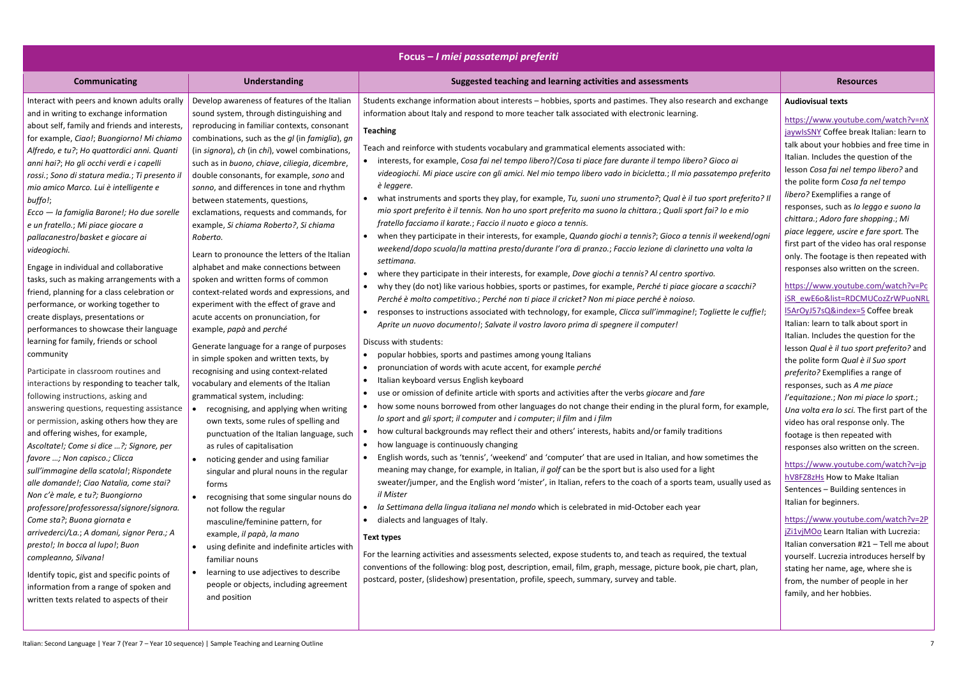|                                                                                                                                                                                                                                                                                                                                                                                                                                                                                                                                                                                                                                                                                                                                                                                                                                                                                                                                                                                                                                                                                                                                                                                                                                                                                                                                                                                                                                                                                                                                                                                                                                                     |                                                                                                                                                                                                                                                                                                                                                                                                                                                                                                                                                                                                                                                                                                                                                                                                                                                                                                                                                                                                                                                                                                                                                                                                                                                                                                                                                                                                                                                                                                                                                                                                                   | Focus – I miei passatempi preferiti                                                                                                                                                                                                                                                                                                                                                                                                                                                                                                                                                                                                                                                                                                                                                                                                                                                                                                                                                                                                                                                                                                                                                                                                                                                                                                                                                                                                                                                                                                                                                                                                                                                                                                                                                                                                                                                                                                                                                                                                                                                                                                                                                                                                                                                                                                                                                                                                                                                                                                                                                                                                                                                                                                                                                                                                                                                                                                                                                                                                                                                                                                          |                                                                                                                                                                                                                                                                                                                                                                                                                                                                                                                                                                                                                                                                                                                                                                                                                                                                                                                                                                                                                                                                                                                                                                        |
|-----------------------------------------------------------------------------------------------------------------------------------------------------------------------------------------------------------------------------------------------------------------------------------------------------------------------------------------------------------------------------------------------------------------------------------------------------------------------------------------------------------------------------------------------------------------------------------------------------------------------------------------------------------------------------------------------------------------------------------------------------------------------------------------------------------------------------------------------------------------------------------------------------------------------------------------------------------------------------------------------------------------------------------------------------------------------------------------------------------------------------------------------------------------------------------------------------------------------------------------------------------------------------------------------------------------------------------------------------------------------------------------------------------------------------------------------------------------------------------------------------------------------------------------------------------------------------------------------------------------------------------------------------|-------------------------------------------------------------------------------------------------------------------------------------------------------------------------------------------------------------------------------------------------------------------------------------------------------------------------------------------------------------------------------------------------------------------------------------------------------------------------------------------------------------------------------------------------------------------------------------------------------------------------------------------------------------------------------------------------------------------------------------------------------------------------------------------------------------------------------------------------------------------------------------------------------------------------------------------------------------------------------------------------------------------------------------------------------------------------------------------------------------------------------------------------------------------------------------------------------------------------------------------------------------------------------------------------------------------------------------------------------------------------------------------------------------------------------------------------------------------------------------------------------------------------------------------------------------------------------------------------------------------|----------------------------------------------------------------------------------------------------------------------------------------------------------------------------------------------------------------------------------------------------------------------------------------------------------------------------------------------------------------------------------------------------------------------------------------------------------------------------------------------------------------------------------------------------------------------------------------------------------------------------------------------------------------------------------------------------------------------------------------------------------------------------------------------------------------------------------------------------------------------------------------------------------------------------------------------------------------------------------------------------------------------------------------------------------------------------------------------------------------------------------------------------------------------------------------------------------------------------------------------------------------------------------------------------------------------------------------------------------------------------------------------------------------------------------------------------------------------------------------------------------------------------------------------------------------------------------------------------------------------------------------------------------------------------------------------------------------------------------------------------------------------------------------------------------------------------------------------------------------------------------------------------------------------------------------------------------------------------------------------------------------------------------------------------------------------------------------------------------------------------------------------------------------------------------------------------------------------------------------------------------------------------------------------------------------------------------------------------------------------------------------------------------------------------------------------------------------------------------------------------------------------------------------------------------------------------------------------------------------------------------------------------------------------------------------------------------------------------------------------------------------------------------------------------------------------------------------------------------------------------------------------------------------------------------------------------------------------------------------------------------------------------------------------------------------------------------------------------------------------------------------------|------------------------------------------------------------------------------------------------------------------------------------------------------------------------------------------------------------------------------------------------------------------------------------------------------------------------------------------------------------------------------------------------------------------------------------------------------------------------------------------------------------------------------------------------------------------------------------------------------------------------------------------------------------------------------------------------------------------------------------------------------------------------------------------------------------------------------------------------------------------------------------------------------------------------------------------------------------------------------------------------------------------------------------------------------------------------------------------------------------------------------------------------------------------------|
| <b>Communicating</b>                                                                                                                                                                                                                                                                                                                                                                                                                                                                                                                                                                                                                                                                                                                                                                                                                                                                                                                                                                                                                                                                                                                                                                                                                                                                                                                                                                                                                                                                                                                                                                                                                                | <b>Understanding</b>                                                                                                                                                                                                                                                                                                                                                                                                                                                                                                                                                                                                                                                                                                                                                                                                                                                                                                                                                                                                                                                                                                                                                                                                                                                                                                                                                                                                                                                                                                                                                                                              | Suggested teaching and learning activities and assessments                                                                                                                                                                                                                                                                                                                                                                                                                                                                                                                                                                                                                                                                                                                                                                                                                                                                                                                                                                                                                                                                                                                                                                                                                                                                                                                                                                                                                                                                                                                                                                                                                                                                                                                                                                                                                                                                                                                                                                                                                                                                                                                                                                                                                                                                                                                                                                                                                                                                                                                                                                                                                                                                                                                                                                                                                                                                                                                                                                                                                                                                                   | <b>Resources</b>                                                                                                                                                                                                                                                                                                                                                                                                                                                                                                                                                                                                                                                                                                                                                                                                                                                                                                                                                                                                                                                                                                                                                       |
| Interact with peers and known adults orally<br>and in writing to exchange information<br>about self, family and friends and interests,<br>for example, Ciao!; Buongiorno! Mi chiamo<br>Alfredo, e tu?; Ho quattordici anni. Quanti<br>anni hai?; Ho gli occhi verdi e i capelli<br>rossi.; Sono di statura media.; Ti presento il<br>mio amico Marco. Lui è intelligente e<br>buffo!;<br>Ecco - la famiglia Barone!; Ho due sorelle<br>e un fratello.; Mi piace giocare a<br>pallacanestro/basket e giocare ai<br>videogiochi.<br>Engage in individual and collaborative<br>tasks, such as making arrangements with a<br>friend, planning for a class celebration or<br>performance, or working together to<br>create displays, presentations or<br>performances to showcase their language<br>learning for family, friends or school<br>community<br>Participate in classroom routines and<br>interactions by responding to teacher talk,<br>following instructions, asking and<br>answering questions, requesting assistance<br>or permission, asking others how they are<br>and offering wishes, for example,<br>Ascoltate!; Come si dice ?; Signore, per<br>favore ; Non capisco.; Clicca<br>sull'immagine della scatola!; Rispondete<br>alle domande!; Ciao Natalia, come stai?<br>Non c'è male, e tu?; Buongiorno<br>professore/professoressa/signore/signora.<br>Come sta?; Buona giornata e<br>arrivederci/La.; A domani, signor Pera.; A<br>presto!; In bocca al lupo!; Buon<br>compleanno, Silvana!<br>Identify topic, gist and specific points of<br>information from a range of spoken and<br>written texts related to aspects of their | Develop awareness of features of the Italian<br>sound system, through distinguishing and<br>reproducing in familiar contexts, consonant<br>combinations, such as the gl (in famiglia), gn<br>(in signora), ch (in chi), vowel combinations,<br>such as in buono, chiave, ciliegia, dicembre,<br>double consonants, for example, sono and<br>sonno, and differences in tone and rhythm<br>between statements, questions,<br>exclamations, requests and commands, for<br>example, Si chiama Roberto?, Si chiama<br>Roberto.<br>Learn to pronounce the letters of the Italian<br>alphabet and make connections between<br>spoken and written forms of common<br>context-related words and expressions, and<br>experiment with the effect of grave and<br>acute accents on pronunciation, for<br>example, papà and perché<br>Generate language for a range of purposes<br>in simple spoken and written texts, by<br>recognising and using context-related<br>vocabulary and elements of the Italian<br>grammatical system, including:<br>recognising, and applying when writing<br>$\bullet$<br>own texts, some rules of spelling and<br>punctuation of the Italian language, such<br>as rules of capitalisation<br>noticing gender and using familiar<br>singular and plural nouns in the regular<br>forms<br>recognising that some singular nouns do<br>not follow the regular<br>masculine/feminine pattern, for<br>example, il papà, la mano<br>using definite and indefinite articles with<br>familiar nouns<br>learning to use adjectives to describe<br>people or objects, including agreement<br>and position | Students exchange information about interests - hobbies, sports and pastimes. They also research and exchange<br>information about Italy and respond to more teacher talk associated with electronic learning.<br><b>Teaching</b><br>Teach and reinforce with students vocabulary and grammatical elements associated with:<br>interests, for example, Cosa fai nel tempo libero?/Cosa ti piace fare durante il tempo libero? Gioco ai<br>videogiochi. Mi piace uscire con gli amici. Nel mio tempo libero vado in bicicletta.; Il mio passatempo preferito<br>è leggere.<br>what instruments and sports they play, for example, Tu, suoni uno strumento?; Qual è il tuo sport preferito? Il<br>mio sport preferito è il tennis. Non ho uno sport preferito ma suono la chittara.; Quali sport fai? lo e mio<br>fratello facciamo il karate.; Faccio il nuoto e gioco a tennis.<br>when they participate in their interests, for example, Quando giochi a tennis?; Gioco a tennis il weekend/ogni<br>weekend/dopo scuola/la mattina presto/durante l'ora di pranzo.; Faccio lezione di clarinetto una volta la<br>settimana.<br>where they participate in their interests, for example, Dove giochi a tennis? Al centro sportivo.<br>why they (do not) like various hobbies, sports or pastimes, for example, Perché ti piace giocare a scacchi?<br>Perché è molto competitivo.; Perché non ti piace il cricket? Non mi piace perché è noioso.<br>responses to instructions associated with technology, for example, Clicca sull'immagine!; Togliette le cuffie!;<br>Aprite un nuovo documento!; Salvate il vostro lavoro prima di spegnere il computer!<br>Discuss with students:<br>popular hobbies, sports and pastimes among young Italians<br>pronunciation of words with acute accent, for example perché<br>Italian keyboard versus English keyboard<br>use or omission of definite article with sports and activities after the verbs giocare and fare<br>how some nouns borrowed from other languages do not change their ending in the plural form, for example,<br>lo sport and gli sport; il computer and i computer; il film and i film<br>how cultural backgrounds may reflect their and others' interests, habits and/or family traditions<br>how language is continuously changing<br>English words, such as 'tennis', 'weekend' and 'computer' that are used in Italian, and how sometimes the<br>meaning may change, for example, in Italian, il golf can be the sport but is also used for a light<br>sweater/jumper, and the English word 'mister', in Italian, refers to the coach of a sports team, usually used as<br>il Mister<br>la Settimana della lingua italiana nel mondo which is celebrated in mid-October each year<br>dialects and languages of Italy.<br><b>Text types</b><br>For the learning activities and assessments selected, expose students to, and teach as required, the textual<br>conventions of the following: blog post, description, email, film, graph, message, picture book, pie chart, plan,<br>postcard, poster, (slideshow) presentation, profile, speech, summary, survey and table. | <b>Audiovisual texts</b><br>https://www.youtube.cor<br>jaywlsSNY Coffee break It<br>talk about your hobbies a<br>Italian. Includes the quest<br>lesson Cosa fai nel tempo<br>the polite form Cosa fa ne<br>libero? Exemplifies a rang<br>responses, such as lo legg<br>chittara.; Adoro fare shop<br>piace leggere, uscire e far<br>first part of the video has<br>only. The footage is then<br>responses also written on<br>https://www.youtube.cor<br>iSR ewE6o&list=RDCMUC<br>I5ArOyJ57sQ&index=5 Co<br>Italian: learn to talk about<br>Italian. Includes the quest<br>lesson Qual è il tuo sport<br>the polite form Qual è il S<br>preferito? Exemplifies a ra<br>responses, such as A me p<br>l'equitazione.; Non mi pia<br>Una volta era lo sci. The f<br>video has oral response o<br>footage is then repeated<br>responses also written on<br>https://www.youtube.cor<br>hV8FZ8zHs How to Make<br>Sentences - Building sent<br>Italian for beginners.<br>https://www.youtube.cor<br>jZi1vjMOo Learn Italian w<br>Italian conversation #21 -<br>yourself. Lucrezia introdu<br>stating her name, age, wh<br>from, the number of peop<br>family, and her hobbies. |

|                                                                                      | <b>Resources</b>                                                                                                                                                                                                                                                                                                                                                                                                                                                                                                                                                                                  |
|--------------------------------------------------------------------------------------|---------------------------------------------------------------------------------------------------------------------------------------------------------------------------------------------------------------------------------------------------------------------------------------------------------------------------------------------------------------------------------------------------------------------------------------------------------------------------------------------------------------------------------------------------------------------------------------------------|
| ind exchange                                                                         | <b>Audiovisual texts</b>                                                                                                                                                                                                                                                                                                                                                                                                                                                                                                                                                                          |
| co ai<br>mpo preferito<br>rt preferito? Il<br>'o e mio<br>veekend/ogni<br>ı volta la | https://www.youtube.com/watch?v=nX<br>jaywlsSNY Coffee break Italian: learn to<br>talk about your hobbies and free time in<br>Italian. Includes the question of the<br>lesson Cosa fai nel tempo libero? and<br>the polite form Cosa fa nel tempo<br>libero? Exemplifies a range of<br>responses, such as lo leggo e suono la<br>chittara.; Adoro fare shopping.; Mi<br>piace leggere, uscire e fare sport. The<br>first part of the video has oral response<br>only. The footage is then repeated with                                                                                           |
| า scacchi?                                                                           | responses also written on the screen.<br>https://www.youtube.com/watch?v=Pc                                                                                                                                                                                                                                                                                                                                                                                                                                                                                                                       |
| tte le cuffie!;<br>for example,<br>etimes the<br>sually used as                      | ISR ewE6o&list=RDCMUCozZrWPuoNRL<br>I5ArOyJ57sQ&index=5 Coffee break<br>Italian: learn to talk about sport in<br>Italian. Includes the question for the<br>lesson Qual è il tuo sport preferito? and<br>the polite form Qual è il Suo sport<br>preferito? Exemplifies a range of<br>responses, such as A me piace<br>l'equitazione.; Non mi piace lo sport.;<br>Una volta era lo sci. The first part of the<br>video has oral response only. The<br>footage is then repeated with<br>responses also written on the screen.<br>https://www.youtube.com/watch?v=jp<br>hV8FZ8zHs How to Make Italian |
| textual<br>hart, plan,                                                               | Sentences - Building sentences in<br>Italian for beginners.<br>https://www.youtube.com/watch?v=2P<br>jZi1vjMOo Learn Italian with Lucrezia:<br>Italian conversation #21 - Tell me about<br>yourself. Lucrezia introduces herself by<br>stating her name, age, where she is<br>from, the number of people in her<br>family, and her hobbies.                                                                                                                                                                                                                                                       |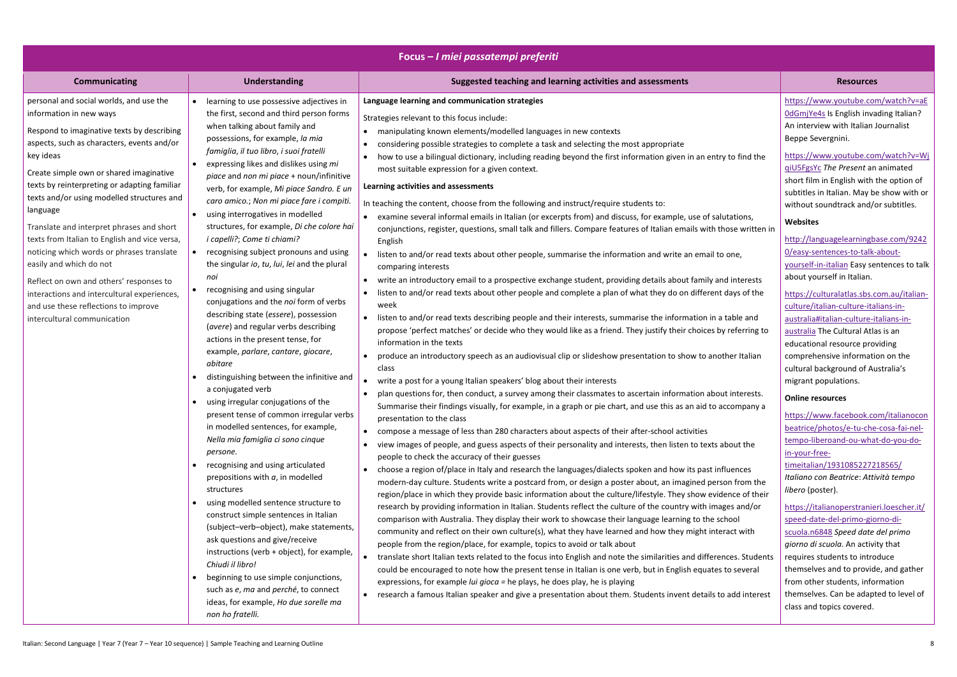|                                                                                                                                                                                                                                                                                                                                                                                                                                                                                                                                                                                                                                                                         |                                                                                                                                                                                                                                                                                                                                                                                                                                                                                                                                                                                                                                                                                                                                                                                                                                                                                                                                                                                                                                                                                                                                                                                                                                                                                                                                                                                                                                                                                                                                                                                        | Focus - I miei passatempi preferiti                                                                                                                                                                                                                                                                                                                                                                                                                                                                                                                                                                                                                                                                                                                                                                                                                                                                                                                                                                                                                                                                                                                                                                                                                                                                                                                                                                                                                                                                                                                                                                                                                                                                                                                                                                                                                                                                                                                                                                                                                                                                                                                                                                                                                                                                                                                                                                                                                                                                                                                                                                                                                                                                                                                                                                                                                                                                                                                                                                                                                                                                                                                                                                                                                                                                                                                                                               |                                                                                                                                                                                                                                                                                                                                                                                                                                                                                                                                                                                                                                                                                                                                                                                                                                                                                                                                                                                                                                                                                                                                                                                                                                                                                                                                                                                                                                                             |
|-------------------------------------------------------------------------------------------------------------------------------------------------------------------------------------------------------------------------------------------------------------------------------------------------------------------------------------------------------------------------------------------------------------------------------------------------------------------------------------------------------------------------------------------------------------------------------------------------------------------------------------------------------------------------|----------------------------------------------------------------------------------------------------------------------------------------------------------------------------------------------------------------------------------------------------------------------------------------------------------------------------------------------------------------------------------------------------------------------------------------------------------------------------------------------------------------------------------------------------------------------------------------------------------------------------------------------------------------------------------------------------------------------------------------------------------------------------------------------------------------------------------------------------------------------------------------------------------------------------------------------------------------------------------------------------------------------------------------------------------------------------------------------------------------------------------------------------------------------------------------------------------------------------------------------------------------------------------------------------------------------------------------------------------------------------------------------------------------------------------------------------------------------------------------------------------------------------------------------------------------------------------------|---------------------------------------------------------------------------------------------------------------------------------------------------------------------------------------------------------------------------------------------------------------------------------------------------------------------------------------------------------------------------------------------------------------------------------------------------------------------------------------------------------------------------------------------------------------------------------------------------------------------------------------------------------------------------------------------------------------------------------------------------------------------------------------------------------------------------------------------------------------------------------------------------------------------------------------------------------------------------------------------------------------------------------------------------------------------------------------------------------------------------------------------------------------------------------------------------------------------------------------------------------------------------------------------------------------------------------------------------------------------------------------------------------------------------------------------------------------------------------------------------------------------------------------------------------------------------------------------------------------------------------------------------------------------------------------------------------------------------------------------------------------------------------------------------------------------------------------------------------------------------------------------------------------------------------------------------------------------------------------------------------------------------------------------------------------------------------------------------------------------------------------------------------------------------------------------------------------------------------------------------------------------------------------------------------------------------------------------------------------------------------------------------------------------------------------------------------------------------------------------------------------------------------------------------------------------------------------------------------------------------------------------------------------------------------------------------------------------------------------------------------------------------------------------------------------------------------------------------------------------------------------------------------------------------------------------------------------------------------------------------------------------------------------------------------------------------------------------------------------------------------------------------------------------------------------------------------------------------------------------------------------------------------------------------------------------------------------------------------------------------------------------------|-------------------------------------------------------------------------------------------------------------------------------------------------------------------------------------------------------------------------------------------------------------------------------------------------------------------------------------------------------------------------------------------------------------------------------------------------------------------------------------------------------------------------------------------------------------------------------------------------------------------------------------------------------------------------------------------------------------------------------------------------------------------------------------------------------------------------------------------------------------------------------------------------------------------------------------------------------------------------------------------------------------------------------------------------------------------------------------------------------------------------------------------------------------------------------------------------------------------------------------------------------------------------------------------------------------------------------------------------------------------------------------------------------------------------------------------------------------|
| <b>Communicating</b>                                                                                                                                                                                                                                                                                                                                                                                                                                                                                                                                                                                                                                                    | <b>Understanding</b>                                                                                                                                                                                                                                                                                                                                                                                                                                                                                                                                                                                                                                                                                                                                                                                                                                                                                                                                                                                                                                                                                                                                                                                                                                                                                                                                                                                                                                                                                                                                                                   | Suggested teaching and learning activities and assessments                                                                                                                                                                                                                                                                                                                                                                                                                                                                                                                                                                                                                                                                                                                                                                                                                                                                                                                                                                                                                                                                                                                                                                                                                                                                                                                                                                                                                                                                                                                                                                                                                                                                                                                                                                                                                                                                                                                                                                                                                                                                                                                                                                                                                                                                                                                                                                                                                                                                                                                                                                                                                                                                                                                                                                                                                                                                                                                                                                                                                                                                                                                                                                                                                                                                                                                                        | <b>Resources</b>                                                                                                                                                                                                                                                                                                                                                                                                                                                                                                                                                                                                                                                                                                                                                                                                                                                                                                                                                                                                                                                                                                                                                                                                                                                                                                                                                                                                                                            |
| personal and social worlds, and use the<br>information in new ways<br>Respond to imaginative texts by describing<br>aspects, such as characters, events and/or<br>key ideas<br>Create simple own or shared imaginative<br>texts by reinterpreting or adapting familiar<br>texts and/or using modelled structures and<br>language<br>Translate and interpret phrases and short<br>texts from Italian to English and vice versa,<br>noticing which words or phrases translate<br>easily and which do not<br>Reflect on own and others' responses to<br>interactions and intercultural experiences,<br>and use these reflections to improve<br>intercultural communication | learning to use possessive adjectives in<br>the first, second and third person forms<br>when talking about family and<br>possessions, for example, la mia<br>famiglia, il tuo libro, i suoi fratelli<br>expressing likes and dislikes using mi<br>piace and non mi piace + noun/infinitive<br>verb, for example, Mi piace Sandro. E un<br>caro amico.; Non mi piace fare i compiti.<br>using interrogatives in modelled<br>structures, for example, Di che colore hai<br><i>i capelli?; Come ti chiami?</i><br>recognising subject pronouns and using<br>the singular io, tu, lui, lei and the plural<br>noi<br>recognising and using singular<br>conjugations and the noi form of verbs<br>describing state (essere), possession<br>(avere) and regular verbs describing<br>actions in the present tense, for<br>example, parlare, cantare, giocare,<br>abitare<br>distinguishing between the infinitive and<br>a conjugated verb<br>• using irregular conjugations of the<br>present tense of common irregular verbs<br>in modelled sentences, for example,<br>Nella mia famiglia ci sono cinque<br>persone.<br>recognising and using articulated<br>prepositions with $a$ , in modelled<br>structures<br>using modelled sentence structure to<br>construct simple sentences in Italian<br>(subject-verb-object), make statements,<br>ask questions and give/receive<br>instructions (verb + object), for example,<br>Chiudi il libro!<br>beginning to use simple conjunctions,<br>such as e, ma and perché, to connect<br>ideas, for example, Ho due sorelle ma<br>non ho fratelli. | Language learning and communication strategies<br>Strategies relevant to this focus include:<br>manipulating known elements/modelled languages in new contexts<br>considering possible strategies to complete a task and selecting the most appropriate<br>how to use a bilingual dictionary, including reading beyond the first information given in an entry to find the<br>most suitable expression for a given context.<br>Learning activities and assessments<br>In teaching the content, choose from the following and instruct/require students to:<br>examine several informal emails in Italian (or excerpts from) and discuss, for example, use of salutations,<br>conjunctions, register, questions, small talk and fillers. Compare features of Italian emails with those written in<br>English<br>listen to and/or read texts about other people, summarise the information and write an email to one,<br>comparing interests<br>write an introductory email to a prospective exchange student, providing details about family and interests<br>listen to and/or read texts about other people and complete a plan of what they do on different days of the<br>week<br>listen to and/or read texts describing people and their interests, summarise the information in a table and<br>propose 'perfect matches' or decide who they would like as a friend. They justify their choices by referring to<br>information in the texts<br>produce an introductory speech as an audiovisual clip or slideshow presentation to show to another Italian<br>class<br>write a post for a young Italian speakers' blog about their interests<br>plan questions for, then conduct, a survey among their classmates to ascertain information about interests.<br>Summarise their findings visually, for example, in a graph or pie chart, and use this as an aid to accompany a<br>presentation to the class<br>• compose a message of less than 280 characters about aspects of their after-school activities<br>view images of people, and guess aspects of their personality and interests, then listen to texts about the<br>people to check the accuracy of their guesses<br>choose a region of/place in Italy and research the languages/dialects spoken and how its past influences<br>modern-day culture. Students write a postcard from, or design a poster about, an imagined person from the<br>region/place in which they provide basic information about the culture/lifestyle. They show evidence of their<br>research by providing information in Italian. Students reflect the culture of the country with images and/or<br>comparison with Australia. They display their work to showcase their language learning to the school<br>community and reflect on their own culture(s), what they have learned and how they might interact with<br>people from the region/place, for example, topics to avoid or talk about<br>translate short Italian texts related to the focus into English and note the similarities and differences. Students<br>$\bullet$<br>could be encouraged to note how the present tense in Italian is one verb, but in English equates to several<br>expressions, for example <i>lui gioca</i> = he plays, he does play, he is playing<br>• research a famous Italian speaker and give a presentation about them. Students invent details to add interest | https://www.youtube.com/watch?v=aE<br>OdGmjYe4s Is English invading Italian?<br>An interview with Italian Journalist<br>Beppe Severgnini.<br>https://www.youtube.com/watch?v=Wj<br>giU5FgsYc The Present an animated<br>short film in English with the option of<br>subtitles in Italian. May be show with or<br>without soundtrack and/or subtitles.<br>Websites<br>http://languagelearningbase.com/9242<br>O/easy-sentences-to-talk-about-<br>yourself-in-italian Easy sentences to talk<br>about yourself in Italian.<br>https://culturalatlas.sbs.com.au/italian-<br>culture/italian-culture-italians-in-<br>australia#italian-culture-italians-in-<br>australia The Cultural Atlas is an<br>educational resource providing<br>comprehensive information on the<br>cultural background of Australia's<br>migrant populations.<br><b>Online resources</b><br>https://www.facebook.com/italianocon<br>beatrice/photos/e-tu-che-cosa-fai-nel-<br>tempo-liberoand-ou-what-do-you-do-<br>in-your-free-<br>timeitalian/1931085227218565/<br>Italiano con Beatrice: Attività tempo<br><i>libero</i> (poster).<br>https://italianoperstranieri.loescher.it/<br>speed-date-del-primo-giorno-di-<br>scuola.n6848 Speed date del primo<br>giorno di scuola. An activity that<br>requires students to introduce<br>themselves and to provide, and gather<br>from other students, information<br>themselves. Can be adapted to level of<br>class and topics covered. |